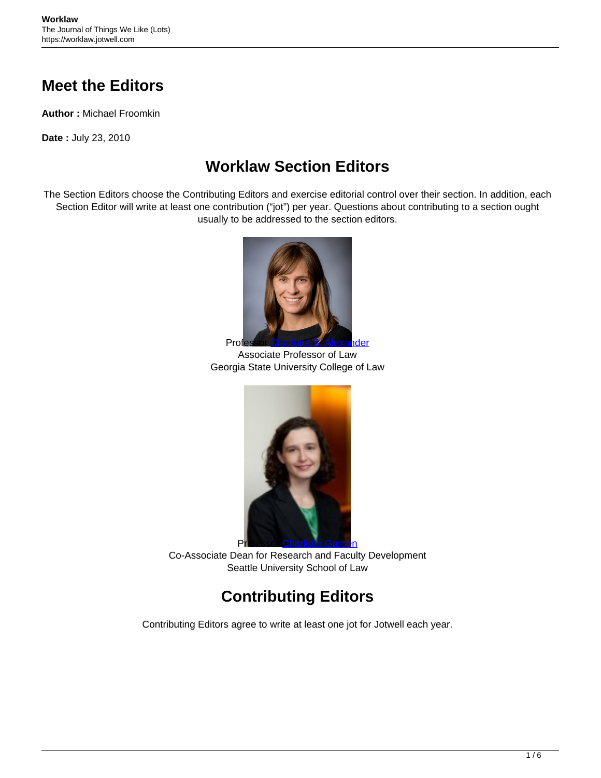## **Meet the Editors**

**Author :** Michael Froomkin

**Date :** July 23, 2010

## **Worklaw Section Editors**

The Section Editors choose the Contributing Editors and exercise editorial control over their section. In addition, each Section Editor will write at least one contribution ("jot") per year. Questions about contributing to a section ought usually to be addressed to the section editors.



Associate Professor of Law Georgia State University College of Law



Co-Associate Dean for Research and Faculty Development Seattle University School of Law

## **Contributing Editors**

Contributing Editors agree to write at least one jot for Jotwell each year.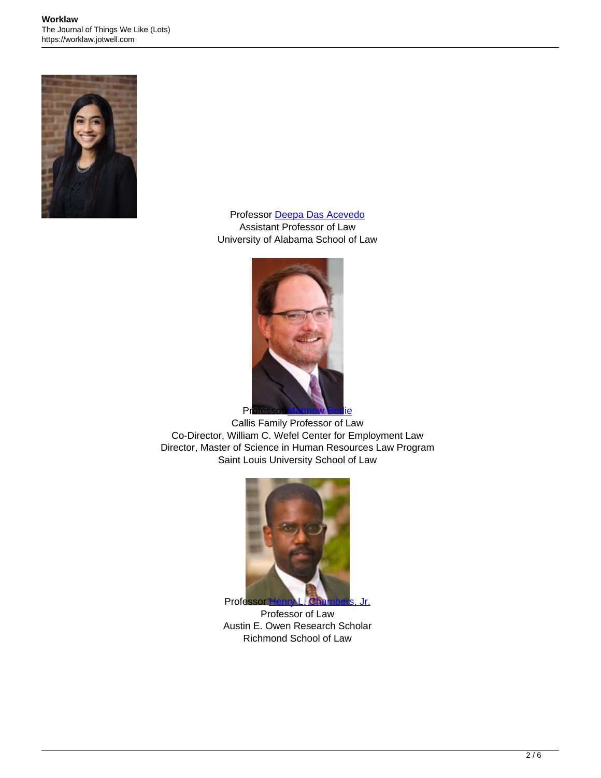

Professor [Deepa Das Acevedo](https://www.law.ua.edu/directory/People/view/Deepa_Das_Acevedo) Assistant Professor of Law University of Alabama School of Law



Callis Family Professor of Law Co-Director, William C. Wefel Center for Employment Law Director, Master of Science in Human Resources Law Program Saint Louis University School of Law



Professor of Law Austin E. Owen Research Scholar Richmond School of Law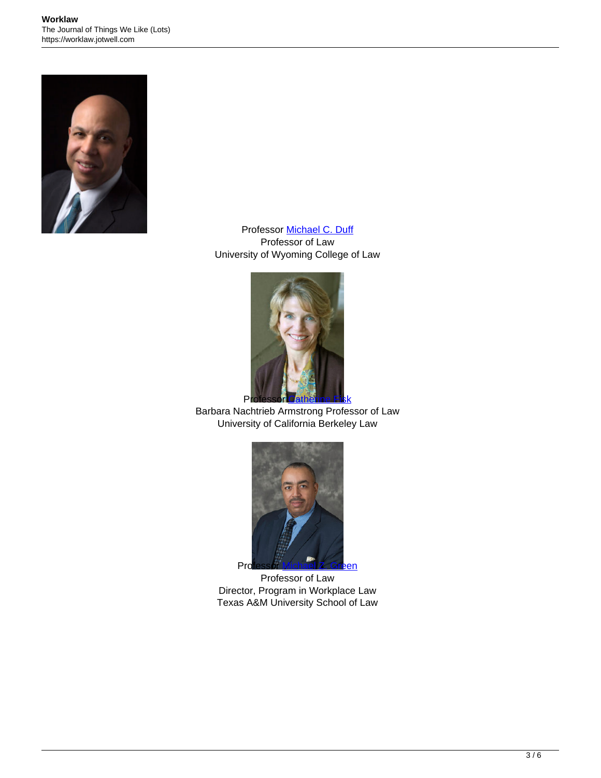

Professor [Michael C. Duff](https://www.uwyo.edu/law/directory/mike-duff.html) Professor of Law University of Wyoming College of Law



Barbara Nachtrieb Armstrong Professor of Law University of California Berkeley Law



Professor of Law Director, Program in Workplace Law Texas A&M University School of Law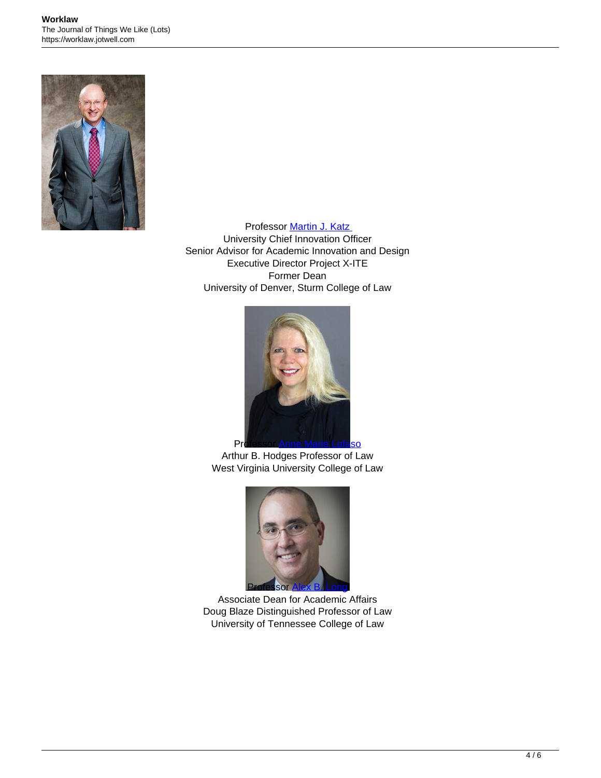

Professor [Martin J. Katz](https://www.law.du.edu/about/people/martin-katz) University Chief Innovation Officer Senior Advisor for Academic Innovation and Design Executive Director Project X-ITE Former Dean University of Denver, Sturm College of Law



Arthur B. Hodges Professor of Law West Virginia University College of Law



Associate Dean for Academic Affairs Doug Blaze Distinguished Professor of Law University of Tennessee College of Law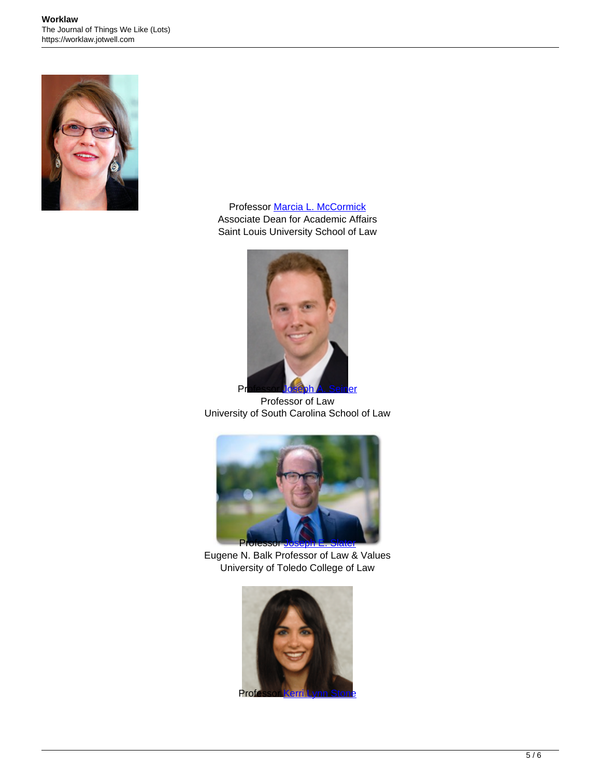

Professor [Marcia L. McCormick](https://www.slu.edu/law/faculty/marcia-mccormick.php) Associate Dean for Academic Affairs Saint Louis University School of Law



Professor of Law University of South Carolina School of Law



Eugene N. Balk Professor of Law & Values University of Toledo College of Law